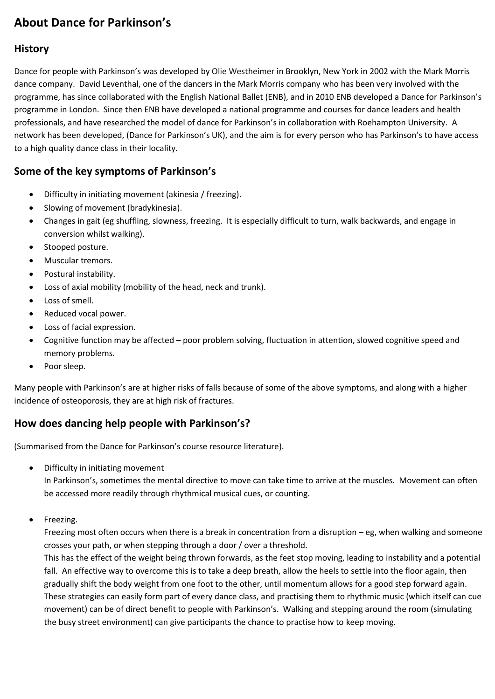# **About Dance for Parkinson's**

### **History**

Dance for people with Parkinson's was developed by Olie Westheimer in Brooklyn, New York in 2002 with the Mark Morris dance company. David Leventhal, one of the dancers in the Mark Morris company who has been very involved with the programme, has since collaborated with the English National Ballet (ENB), and in 2010 ENB developed a Dance for Parkinson's programme in London. Since then ENB have developed a national programme and courses for dance leaders and health professionals, and have researched the model of dance for Parkinson's in collaboration with Roehampton University. A network has been developed, (Dance for Parkinson's UK), and the aim is for every person who has Parkinson's to have access to a high quality dance class in their locality.

### **Some of the key symptoms of Parkinson's**

- Difficulty in initiating movement (akinesia / freezing).
- Slowing of movement (bradykinesia).
- Changes in gait (eg shuffling, slowness, freezing. It is especially difficult to turn, walk backwards, and engage in conversion whilst walking).
- Stooped posture.
- Muscular tremors.
- Postural instability.
- Loss of axial mobility (mobility of the head, neck and trunk).
- Loss of smell.
- Reduced vocal power.
- Loss of facial expression.
- Cognitive function may be affected poor problem solving, fluctuation in attention, slowed cognitive speed and memory problems.
- Poor sleep.

Many people with Parkinson's are at higher risks of falls because of some of the above symptoms, and along with a higher incidence of osteoporosis, they are at high risk of fractures.

## **How does dancing help people with Parkinson's?**

(Summarised from the Dance for Parkinson's course resource literature).

Difficulty in initiating movement

In Parkinson's, sometimes the mental directive to move can take time to arrive at the muscles. Movement can often be accessed more readily through rhythmical musical cues, or counting.

• Freezing.

Freezing most often occurs when there is a break in concentration from a disruption – eg, when walking and someone crosses your path, or when stepping through a door / over a threshold.

This has the effect of the weight being thrown forwards, as the feet stop moving, leading to instability and a potential fall. An effective way to overcome this is to take a deep breath, allow the heels to settle into the floor again, then gradually shift the body weight from one foot to the other, until momentum allows for a good step forward again. These strategies can easily form part of every dance class, and practising them to rhythmic music (which itself can cue movement) can be of direct benefit to people with Parkinson's. Walking and stepping around the room (simulating the busy street environment) can give participants the chance to practise how to keep moving.